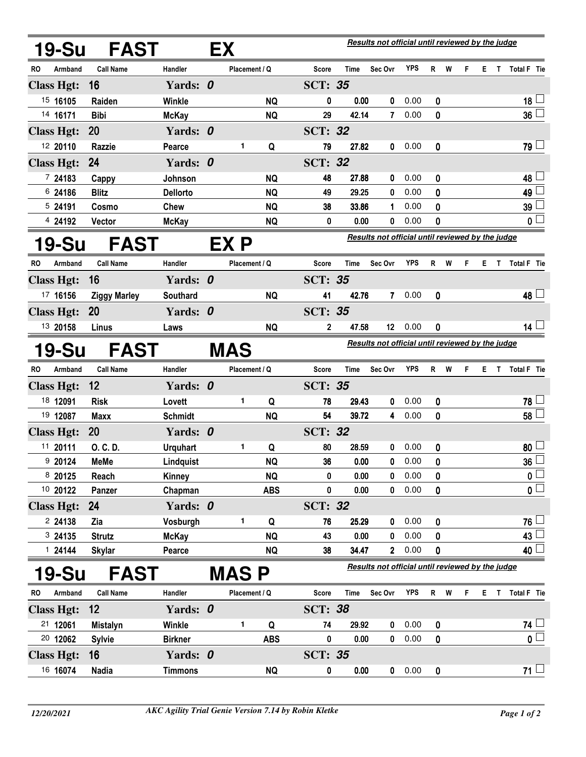|                                     | 19-Su             | <b>FAST</b>         |                 | Results not official until reviewed by the judge<br>EX |               |            |                                                  |                                                  |                 |            |              |     |    |    |              |                         |  |  |
|-------------------------------------|-------------------|---------------------|-----------------|--------------------------------------------------------|---------------|------------|--------------------------------------------------|--------------------------------------------------|-----------------|------------|--------------|-----|----|----|--------------|-------------------------|--|--|
| RO                                  | Armband           | <b>Call Name</b>    | Handler         |                                                        | Placement / Q |            | <b>Score</b>                                     | Time                                             | Sec Ovr         | <b>YPS</b> | $\mathsf{R}$ | W   | F  | Е. |              | T Total F Tie           |  |  |
|                                     | <b>Class Hgt:</b> | 16                  | Yards: 0        |                                                        |               |            | <b>SCT: 35</b>                                   |                                                  |                 |            |              |     |    |    |              |                         |  |  |
|                                     | 15 16105          | Raiden              | Winkle          |                                                        |               | <b>NQ</b>  | 0                                                | 0.00                                             | 0               | 0.00       | 0            |     |    |    |              | 18 $\lfloor$            |  |  |
|                                     | 14 16171          | <b>Bibi</b>         | <b>McKay</b>    |                                                        |               | <b>NQ</b>  | 29                                               | 42.14                                            | 7               | 0.00       | 0            |     |    |    |              | $36\sqcup$              |  |  |
|                                     | <b>Class Hgt:</b> | 20                  | Yards: 0        |                                                        |               |            | <b>SCT: 32</b>                                   |                                                  |                 |            |              |     |    |    |              |                         |  |  |
|                                     | 12 20110          | Razzie              | Pearce          |                                                        | 1             | Q          | 79                                               | 27.82                                            | 0               | 0.00       | 0            |     |    |    |              | $79 -$                  |  |  |
|                                     | <b>Class Hgt:</b> | 24                  | Yards: 0        |                                                        |               |            | <b>SCT: 32</b>                                   |                                                  |                 |            |              |     |    |    |              |                         |  |  |
|                                     | 7 24183           | Cappy               | Johnson         |                                                        |               | <b>NQ</b>  | 48                                               | 27.88                                            | 0               | 0.00       | 0            |     |    |    |              | 48 L                    |  |  |
|                                     | 6 24186           | <b>Blitz</b>        | <b>Dellorto</b> |                                                        |               | <b>NQ</b>  | 49                                               | 29.25                                            | 0               | 0.00       | 0            |     |    |    |              | 49 ↓                    |  |  |
|                                     | 5 24191           | Cosmo               | <b>Chew</b>     |                                                        |               | <b>NQ</b>  | 38                                               | 33.86                                            | 1               | 0.00       | 0            |     |    |    |              | $39\perp$               |  |  |
|                                     | 4 24192           | Vector              | <b>McKay</b>    |                                                        |               | <b>NQ</b>  | 0                                                | 0.00                                             | 0               | 0.00       | 0            |     |    |    |              | 0 L                     |  |  |
| EX P<br><b>19-Su</b><br><b>FAST</b> |                   |                     |                 |                                                        |               |            |                                                  | Results not official until reviewed by the judge |                 |            |              |     |    |    |              |                         |  |  |
| RO                                  | Armband           | <b>Call Name</b>    | Handler         |                                                        | Placement / Q |            | <b>Score</b>                                     | Time                                             | Sec Ovr         | <b>YPS</b> | R            | W   | F. |    |              | E T Total F Tie         |  |  |
|                                     | <b>Class Hgt:</b> | 16                  | Yards: 0        |                                                        |               |            | <b>SCT: 35</b>                                   |                                                  |                 |            |              |     |    |    |              |                         |  |  |
|                                     | 17 16156          | <b>Ziggy Marley</b> | Southard        |                                                        |               | <b>NQ</b>  | 41                                               | 42.76                                            | 7               | 0.00       | 0            |     |    |    |              | $48 -$                  |  |  |
|                                     | <b>Class Hgt:</b> | <b>20</b>           | Yards: 0        |                                                        |               |            | <b>SCT: 35</b>                                   |                                                  |                 |            |              |     |    |    |              |                         |  |  |
|                                     | 13 20158          | Linus               | Laws            |                                                        |               | <b>NQ</b>  | 2                                                | 47.58                                            | 12 <sup>°</sup> | 0.00       | 0            |     |    |    |              | $14\perp$               |  |  |
| 19-Su<br><b>FAST</b><br><b>MAS</b>  |                   |                     |                 |                                                        |               |            | Results not official until reviewed by the judge |                                                  |                 |            |              |     |    |    |              |                         |  |  |
| RO                                  | Armband           | <b>Call Name</b>    | Handler         |                                                        | Placement / Q |            | <b>Score</b>                                     | <b>Time</b>                                      | Sec Ovr         | <b>YPS</b> | R            | W   | F. | E. | $\mathbf{T}$ | Total F Tie             |  |  |
|                                     | <b>Class Hgt:</b> | 12                  | Yards: 0        |                                                        |               |            | <b>SCT: 35</b>                                   |                                                  |                 |            |              |     |    |    |              |                         |  |  |
|                                     | 18 12091          | <b>Risk</b>         | Lovett          |                                                        | 1             | Q          | 78                                               | 29.43                                            | 0               | 0.00       | 0            |     |    |    |              | 78 ↓                    |  |  |
|                                     | 19 12087          | <b>Maxx</b>         | <b>Schmidt</b>  |                                                        |               | <b>NQ</b>  | 54                                               | 39.72                                            | 4               | 0.00       | 0            |     |    |    |              | 58                      |  |  |
|                                     | <b>Class Hgt:</b> | 20                  | Yards: 0        |                                                        |               |            | <b>SCT: 32</b>                                   |                                                  |                 |            |              |     |    |    |              |                         |  |  |
|                                     | 11 20111          | O. C. D.            | <b>Urquhart</b> |                                                        | 1             | Q          | 80                                               | 28.59                                            | 0               | 0.00       | 0            |     |    |    |              | 80                      |  |  |
|                                     | 9 20124           | <b>MeMe</b>         | Lindquist       |                                                        |               | <b>NQ</b>  | 36                                               | 0.00                                             |                 | 0 0.00     | 0            |     |    |    |              | 36                      |  |  |
|                                     | 8 20125           | Reach               | Kinney          |                                                        |               | <b>NQ</b>  | 0                                                | 0.00                                             | 0               | 0.00       | 0            |     |    |    |              | $\mathbf 0$             |  |  |
|                                     | 10 20122          | Panzer              | Chapman         |                                                        |               | <b>ABS</b> | 0                                                | 0.00                                             | $\mathbf 0$     | 0.00       | 0            |     |    |    |              | $\overline{\mathbf{0}}$ |  |  |
|                                     | <b>Class Hgt:</b> | 24                  | Yards: 0        |                                                        |               |            | <b>SCT: 32</b>                                   |                                                  |                 |            |              |     |    |    |              |                         |  |  |
|                                     | 2 24138           | Zia                 | Vosburgh        |                                                        | 1             | Q          | 76                                               | 25.29                                            | 0               | 0.00       | 0            |     |    |    |              | $76$ $-$                |  |  |
|                                     | 3 24135           | <b>Strutz</b>       | <b>McKay</b>    |                                                        |               | <b>NQ</b>  | 43                                               | 0.00                                             | 0               | 0.00       | 0            |     |    |    |              | 43                      |  |  |
|                                     | 124144            | <b>Skylar</b>       | Pearce          |                                                        |               | <b>NQ</b>  | 38                                               | 34.47                                            | $\mathbf{2}$    | 0.00       | 0            |     |    |    |              | 40 l                    |  |  |
| <b>FAST</b><br>19-Su<br>MAS P       |                   |                     |                 |                                                        |               |            |                                                  | Results not official until reviewed by the judge |                 |            |              |     |    |    |              |                         |  |  |
| <b>RO</b>                           | Armband           | <b>Call Name</b>    | Handler         |                                                        | Placement / Q |            | <b>Score</b>                                     | Time                                             | Sec Ovr         | YPS        |              | R W | F. | E. | $\mathbf{T}$ | Total F Tie             |  |  |
|                                     | <b>Class Hgt:</b> | 12                  | Yards: 0        |                                                        |               |            | <b>SCT: 38</b>                                   |                                                  |                 |            |              |     |    |    |              |                         |  |  |
|                                     | 21 12061          | <b>Mistalyn</b>     | Winkle          |                                                        | 1             | Q          | 74                                               | 29.92                                            | 0               | 0.00       | 0            |     |    |    |              | $74$ $-$                |  |  |
|                                     | 20 12062          | <b>Sylvie</b>       | <b>Birkner</b>  |                                                        |               | <b>ABS</b> | 0                                                | 0.00                                             | $\mathbf 0$     | 0.00       | 0            |     |    |    |              | 0 L                     |  |  |
|                                     | <b>Class Hgt:</b> | 16                  | Yards: 0        |                                                        |               |            | <b>SCT: 35</b>                                   |                                                  |                 |            |              |     |    |    |              |                         |  |  |
|                                     | 16 16074          | <b>Nadia</b>        | <b>Timmons</b>  |                                                        |               | <b>NQ</b>  | 0                                                | 0.00                                             |                 | 0 0.00     | 0            |     |    |    |              | $71 \Box$               |  |  |